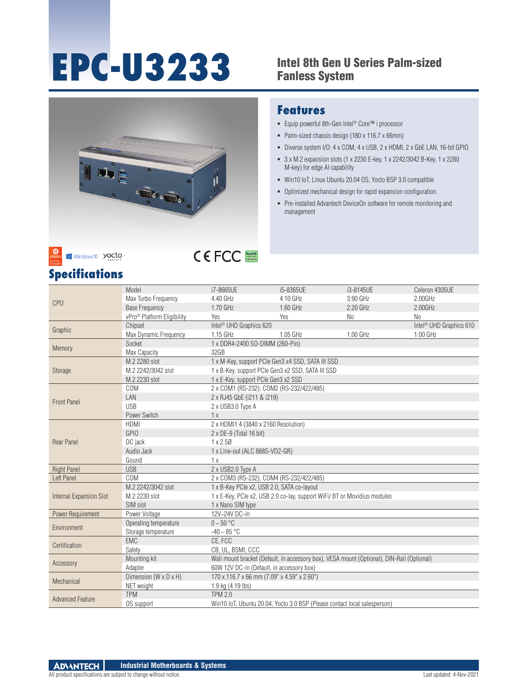# **EPC-U3233** Intel 8th Gen U Series Palm-sized

### Fanless System





- Equip powerful 8th-Gen Intel® Core™ i processor
- Palm-sized chassis design (180 x 116.7 x 66mm)
- Diverse system I/O: 4 x COM, 4 x USB, 2 x HDMI, 2 x GbE LAN, 16-bit GPIO
- 3 x M.2 expansion slots (1 x 2230 E-key, 1 x 2242/3042 B-Key, 1 x 2280 M-key) for edge AI capability
- Win10 IoT, Linux Ubuntu 20.04 OS, Yocto BSP 3.0 compatible
- Optimized mechanical design for rapid expansion configuration.
- Pre-installed Advantech DeviceOn software for remote monitoring and management

| <b>Specifications</b> |
|-----------------------|
|-----------------------|

Windows 10 yocto

| CPU                            | Model                                  | i7-8665UE                                         | i5-8365UE                                                                                  | i3-8145UE | Celeron 4305UE                      |  |
|--------------------------------|----------------------------------------|---------------------------------------------------|--------------------------------------------------------------------------------------------|-----------|-------------------------------------|--|
|                                | Max Turbo Frequency                    | 4.40 GHz                                          | 4.10 GHz                                                                                   | 3.90 GHz  | 2.00GHz                             |  |
|                                | <b>Base Frequency</b>                  | 1.70 GHz                                          | 1.60 GHz                                                                                   | 2.20 GHz  | $2.00$ GHz                          |  |
|                                | vPro <sup>®</sup> Platform Eligibility | Yes                                               | Yes                                                                                        | No        | N <sub>0</sub>                      |  |
|                                | Chipset                                | Intel <sup>®</sup> UHD Graphics 620               |                                                                                            |           | Intel <sup>®</sup> UHD Graphics 610 |  |
| Graphic                        | Max Dynamic Frequency                  | 1.15 GHz                                          | 1.05 GHz                                                                                   | 1.00 GHz  | 1.00 GHz                            |  |
| Memory                         | Socket                                 | 1 x DDR4-2400 SO-DIMM (260-Pin)                   |                                                                                            |           |                                     |  |
|                                | Max Capacity                           | 32GB                                              |                                                                                            |           |                                     |  |
|                                | M.2 2280 slot                          | 1 x M-Key, support PCIe Gen3 x4 SSD, SATA III SSD |                                                                                            |           |                                     |  |
| Storage                        | M.2 2242/3042 slot                     | 1 x B-Key, support PCIe Gen3 x2 SSD, SATA III SSD |                                                                                            |           |                                     |  |
|                                | M.2 2230 slot                          | 1 x E-Key, support PCIe Gen3 x2 SSD               |                                                                                            |           |                                     |  |
|                                | COM                                    | 2 x COM1 (RS-232), COM2 (RS-232/422/485)          |                                                                                            |           |                                     |  |
| <b>Front Panel</b>             | LAN                                    | 2 x RJ45 GbE (i211 & i219)                        |                                                                                            |           |                                     |  |
|                                | <b>USB</b>                             | 2 x USB3.0 Type A                                 |                                                                                            |           |                                     |  |
|                                | Power Switch                           | 1x                                                |                                                                                            |           |                                     |  |
|                                | <b>HDMI</b>                            | 2 x HDMI1.4 (3840 x 2160 Resolution)              |                                                                                            |           |                                     |  |
|                                | <b>GPIO</b>                            | 2 x DE-9 (Total 16 bit)                           |                                                                                            |           |                                     |  |
| <b>Rear Panel</b>              | DC jack                                | 1 x 2.50                                          |                                                                                            |           |                                     |  |
|                                | Audio Jack                             | 1 x Line-out (ALC 888S-VD2-GR)                    |                                                                                            |           |                                     |  |
|                                | Gound                                  | 1x                                                |                                                                                            |           |                                     |  |
| <b>Right Panel</b>             | <b>USB</b>                             | 2 x USB2.0 Type A                                 |                                                                                            |           |                                     |  |
| Left Panel                     | COM                                    | 2 x COM3 (RS-232), COM4 (RS-232/422/485)          |                                                                                            |           |                                     |  |
| <b>Internal Expansion Slot</b> | M.2 2242/3042 slot                     | 1 x B-Key PCIe x2, USB 2.0, SATA co-layout        |                                                                                            |           |                                     |  |
|                                | M.2 2230 slot                          |                                                   | 1 x E-Key, PCIe x2, USB 2.0 co-lay, support WiFi/ BT or Movidius modules                   |           |                                     |  |
|                                | SIM slot                               | 1 x Nano SIM type                                 |                                                                                            |           |                                     |  |
| Power Requirement              | Power Voltage                          | 12V~24V DC-in                                     |                                                                                            |           |                                     |  |
| Environment                    | Operating temperature                  | $0 - 50$ °C                                       |                                                                                            |           |                                     |  |
|                                | Storage temperature                    | $-40 - 85 °C$                                     |                                                                                            |           |                                     |  |
| Certification                  | EMC                                    | CE, FCC                                           |                                                                                            |           |                                     |  |
|                                | Safety                                 | CB, UL, BSMI, CCC                                 |                                                                                            |           |                                     |  |
| Accessory                      | Mounting kit                           |                                                   | Wall mount bracket (Default, in accessory box), VESA mount (Optional), DIN-Rail (Optional) |           |                                     |  |
|                                | Adapter                                | 60W 12V DC-in (Default, in accessory box)         |                                                                                            |           |                                     |  |
|                                | Dimension (W x D x H)                  | 170 x 116.7 x 66 mm (7.09" x 4.59" x 2.60")       |                                                                                            |           |                                     |  |
| Mechanical                     | NET weight                             | 1.9 kg (4.19 lbs)                                 |                                                                                            |           |                                     |  |
|                                | <b>TPM</b>                             | <b>TPM 2.0</b>                                    |                                                                                            |           |                                     |  |
| <b>Advanced Feature</b>        | OS support                             |                                                   | Win10 IoT, Ubuntu 20.04, Yocto 3.0 BSP (Please contact local salesperson)                  |           |                                     |  |
|                                |                                        |                                                   |                                                                                            |           |                                     |  |

RoHS **COMPLIANT 2002/95/EC**